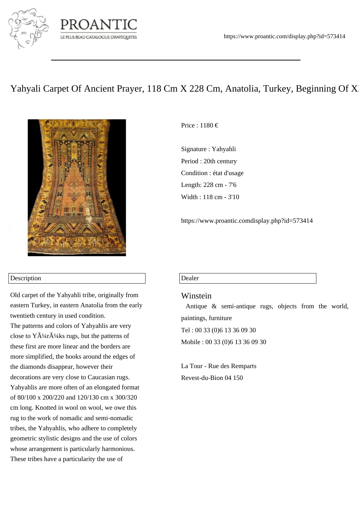

# LE PLUS BEAU CATALOGUE D'ANTIQUITES

## Yahyali Carpet Of Ancient Prayer, 118 Cm X 228 Cm, Anatolia, Turkey, Beginning Of X



#### Description

Old carpet of the Yahyahli tribe, originally from eastern Turkey, in eastern Anatolia from the early twentieth century in used condition. The patterns and colors of Yahyahlis are very close to  $\tilde{Y}$  $\tilde{A}^{1/4}$ r $\tilde{A}^{1/4}$ ks rugs, but the patterns of these first are more linear and the borders are more simplified, the hooks around the edges of the diamonds disappear, however their decorations are very close to Caucasian rugs. Yahyahlis are more often of an elongated format of 80/100 x 200/220 and 120/130 cm x 300/320 cm long. Knotted in wool on wool, we owe this rug to the work of nomadic and semi-nomadic tribes, the Yahyahlis, who adhere to completely geometric stylistic designs and the use of colors whose arrangement is particularly harmonious. These tribes have a particularity the use of

Price : 1180 €

Signature : Yahyahli Period : 20th century Condition : état d'usage Length: 228 cm - 7'6 Width : 118 cm - 3'10

https://www.proantic.comdisplay.php?id=573414

#### Dealer

### Winstein

 Antique & semi-antique rugs, objects from the world, paintings, furniture Tel : 00 33 (0)6 13 36 09 30 Mobile : 00 33 (0)6 13 36 09 30

La Tour - Rue des Remparts Revest-du-Bion 04 150